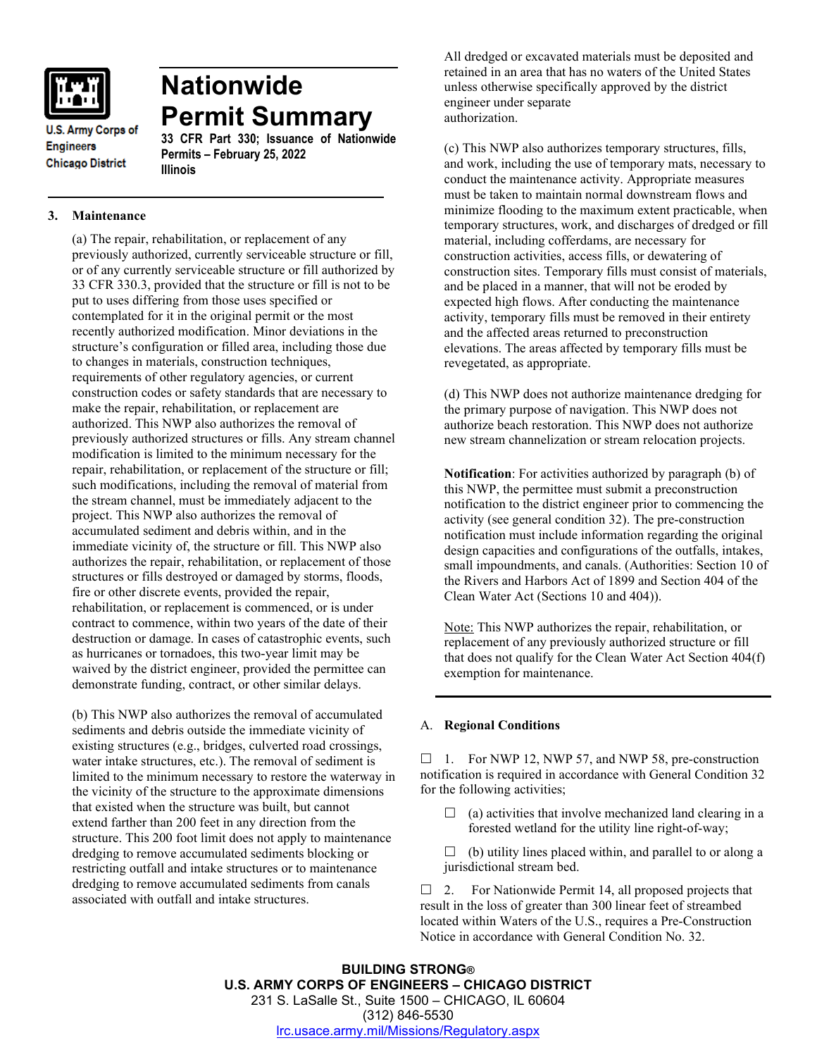

**U.S. Army Corps of Engineers Chicago District** 

# **Nationwide Permit Summary**

**33 CFR Part 330; Issuance of Nationwide Permits – February 25, 2022 Illinois**

# **3. Maintenance**

(a) The repair, rehabilitation, or replacement of any previously authorized, currently serviceable structure or fill, or of any currently serviceable structure or fill authorized by 33 CFR 330.3, provided that the structure or fill is not to be put to uses differing from those uses specified or contemplated for it in the original permit or the most recently authorized modification. Minor deviations in the structure's configuration or filled area, including those due to changes in materials, construction techniques, requirements of other regulatory agencies, or current construction codes or safety standards that are necessary to make the repair, rehabilitation, or replacement are authorized. This NWP also authorizes the removal of previously authorized structures or fills. Any stream channel modification is limited to the minimum necessary for the repair, rehabilitation, or replacement of the structure or fill; such modifications, including the removal of material from the stream channel, must be immediately adjacent to the project. This NWP also authorizes the removal of accumulated sediment and debris within, and in the immediate vicinity of, the structure or fill. This NWP also authorizes the repair, rehabilitation, or replacement of those structures or fills destroyed or damaged by storms, floods, fire or other discrete events, provided the repair, rehabilitation, or replacement is commenced, or is under contract to commence, within two years of the date of their destruction or damage. In cases of catastrophic events, such as hurricanes or tornadoes, this two-year limit may be waived by the district engineer, provided the permittee can demonstrate funding, contract, or other similar delays.

(b) This NWP also authorizes the removal of accumulated sediments and debris outside the immediate vicinity of existing structures (e.g., bridges, culverted road crossings, water intake structures, etc.). The removal of sediment is limited to the minimum necessary to restore the waterway in the vicinity of the structure to the approximate dimensions that existed when the structure was built, but cannot extend farther than 200 feet in any direction from the structure. This 200 foot limit does not apply to maintenance dredging to remove accumulated sediments blocking or restricting outfall and intake structures or to maintenance dredging to remove accumulated sediments from canals associated with outfall and intake structures.

All dredged or excavated materials must be deposited and retained in an area that has no waters of the United States unless otherwise specifically approved by the district engineer under separate authorization.

(c) This NWP also authorizes temporary structures, fills, and work, including the use of temporary mats, necessary to conduct the maintenance activity. Appropriate measures must be taken to maintain normal downstream flows and minimize flooding to the maximum extent practicable, when temporary structures, work, and discharges of dredged or fill material, including cofferdams, are necessary for construction activities, access fills, or dewatering of construction sites. Temporary fills must consist of materials, and be placed in a manner, that will not be eroded by expected high flows. After conducting the maintenance activity, temporary fills must be removed in their entirety and the affected areas returned to preconstruction elevations. The areas affected by temporary fills must be revegetated, as appropriate.

(d) This NWP does not authorize maintenance dredging for the primary purpose of navigation. This NWP does not authorize beach restoration. This NWP does not authorize new stream channelization or stream relocation projects.

**Notification**: For activities authorized by paragraph (b) of this NWP, the permittee must submit a preconstruction notification to the district engineer prior to commencing the activity (see general condition 32). The pre-construction notification must include information regarding the original design capacities and configurations of the outfalls, intakes, small impoundments, and canals. (Authorities: Section 10 of the Rivers and Harbors Act of 1899 and Section 404 of the Clean Water Act (Sections 10 and 404)).

Note: This NWP authorizes the repair, rehabilitation, or replacement of any previously authorized structure or fill that does not qualify for the Clean Water Act Section 404(f) exemption for maintenance.

# A. **Regional Conditions**

 $\Box$  1. For NWP 12, NWP 57, and NWP 58, pre-construction notification is required in accordance with General Condition 32 for the following activities;

- $\Box$  (a) activities that involve mechanized land clearing in a forested wetland for the utility line right-of-way;
- $\Box$  (b) utility lines placed within, and parallel to or along a jurisdictional stream bed.

 $\Box$  2. For Nationwide Permit 14, all proposed projects that result in the loss of greater than 300 linear feet of streambed located within Waters of the U.S., requires a Pre-Construction Notice in accordance with General Condition No. 32.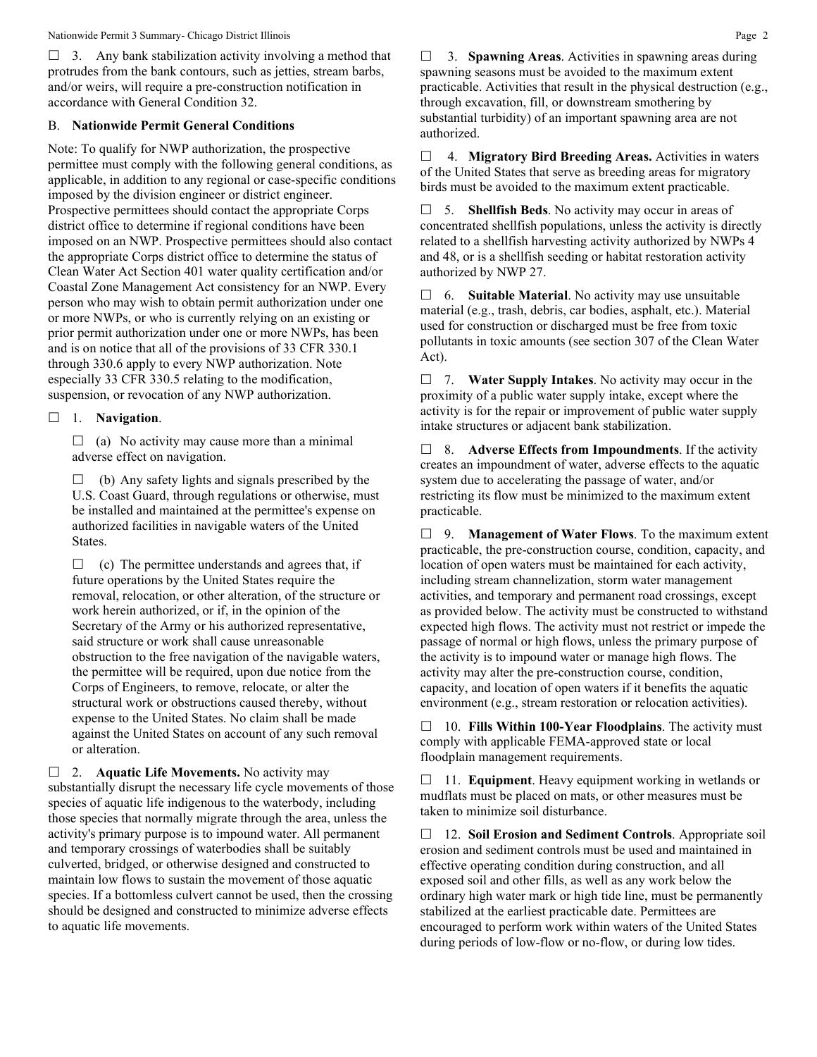Nationwide Permit 3 Summary- Chicago District Illinois **Page 2** 2

 $\Box$  3. Any bank stabilization activity involving a method that protrudes from the bank contours, such as jetties, stream barbs, and/or weirs, will require a pre-construction notification in accordance with General Condition 32.

# B. **Nationwide Permit General Conditions**

Note: To qualify for NWP authorization, the prospective permittee must comply with the following general conditions, as applicable, in addition to any regional or case-specific conditions imposed by the division engineer or district engineer. Prospective permittees should contact the appropriate Corps district office to determine if regional conditions have been imposed on an NWP. Prospective permittees should also contact the appropriate Corps district office to determine the status of Clean Water Act Section 401 water quality certification and/or Coastal Zone Management Act consistency for an NWP. Every person who may wish to obtain permit authorization under one or more NWPs, or who is currently relying on an existing or prior permit authorization under one or more NWPs, has been and is on notice that all of the provisions of 33 CFR 330.1 through 330.6 apply to every NWP authorization. Note especially 33 CFR 330.5 relating to the modification, suspension, or revocation of any NWP authorization.

# 1. **Navigation**.

 $\Box$  (a) No activity may cause more than a minimal adverse effect on navigation.

 $\Box$  (b) Any safety lights and signals prescribed by the U.S. Coast Guard, through regulations or otherwise, must be installed and maintained at the permittee's expense on authorized facilities in navigable waters of the United States.

 $\Box$  (c) The permittee understands and agrees that, if future operations by the United States require the removal, relocation, or other alteration, of the structure or work herein authorized, or if, in the opinion of the Secretary of the Army or his authorized representative, said structure or work shall cause unreasonable obstruction to the free navigation of the navigable waters, the permittee will be required, upon due notice from the Corps of Engineers, to remove, relocate, or alter the structural work or obstructions caused thereby, without expense to the United States. No claim shall be made against the United States on account of any such removal or alteration.

□ 2. **Aquatic Life Movements.** No activity may substantially disrupt the necessary life cycle movements of those species of aquatic life indigenous to the waterbody, including those species that normally migrate through the area, unless the activity's primary purpose is to impound water. All permanent and temporary crossings of waterbodies shall be suitably culverted, bridged, or otherwise designed and constructed to maintain low flows to sustain the movement of those aquatic species. If a bottomless culvert cannot be used, then the crossing should be designed and constructed to minimize adverse effects to aquatic life movements.

 3. **Spawning Areas**. Activities in spawning areas during spawning seasons must be avoided to the maximum extent practicable. Activities that result in the physical destruction (e.g., through excavation, fill, or downstream smothering by substantial turbidity) of an important spawning area are not authorized.

 4. **Migratory Bird Breeding Areas.** Activities in waters of the United States that serve as breeding areas for migratory birds must be avoided to the maximum extent practicable.

 5. **Shellfish Beds**. No activity may occur in areas of concentrated shellfish populations, unless the activity is directly related to a shellfish harvesting activity authorized by NWPs 4 and 48, or is a shellfish seeding or habitat restoration activity authorized by NWP 27.

 6. **Suitable Material**. No activity may use unsuitable material (e.g., trash, debris, car bodies, asphalt, etc.). Material used for construction or discharged must be free from toxic pollutants in toxic amounts (see section 307 of the Clean Water Act).

 7. **Water Supply Intakes**. No activity may occur in the proximity of a public water supply intake, except where the activity is for the repair or improvement of public water supply intake structures or adjacent bank stabilization.

 8. **Adverse Effects from Impoundments**. If the activity creates an impoundment of water, adverse effects to the aquatic system due to accelerating the passage of water, and/or restricting its flow must be minimized to the maximum extent practicable.

 9. **Management of Water Flows**. To the maximum extent practicable, the pre-construction course, condition, capacity, and location of open waters must be maintained for each activity, including stream channelization, storm water management activities, and temporary and permanent road crossings, except as provided below. The activity must be constructed to withstand expected high flows. The activity must not restrict or impede the passage of normal or high flows, unless the primary purpose of the activity is to impound water or manage high flows. The activity may alter the pre-construction course, condition, capacity, and location of open waters if it benefits the aquatic environment (e.g., stream restoration or relocation activities).

 10. **Fills Within 100-Year Floodplains**. The activity must comply with applicable FEMA-approved state or local floodplain management requirements.

 11. **Equipment**. Heavy equipment working in wetlands or mudflats must be placed on mats, or other measures must be taken to minimize soil disturbance.

 12. **Soil Erosion and Sediment Controls**. Appropriate soil erosion and sediment controls must be used and maintained in effective operating condition during construction, and all exposed soil and other fills, as well as any work below the ordinary high water mark or high tide line, must be permanently stabilized at the earliest practicable date. Permittees are encouraged to perform work within waters of the United States during periods of low-flow or no-flow, or during low tides.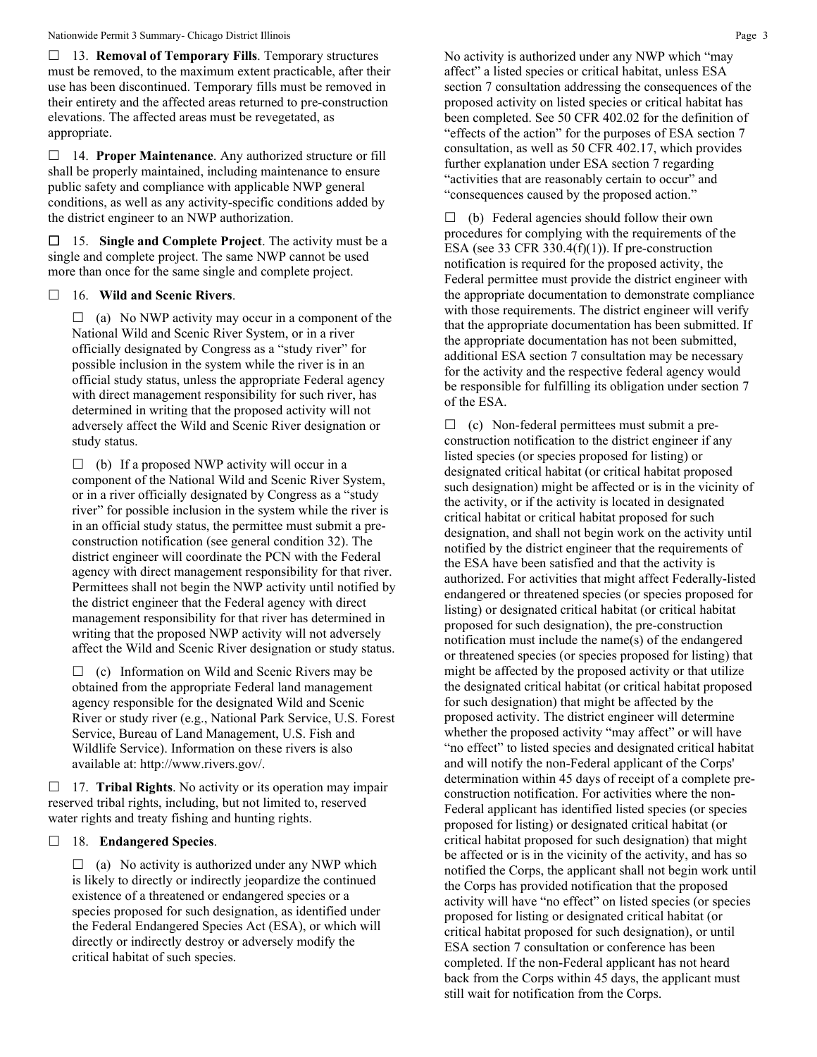13. **Removal of Temporary Fills**. Temporary structures must be removed, to the maximum extent practicable, after their use has been discontinued. Temporary fills must be removed in their entirety and the affected areas returned to pre-construction elevations. The affected areas must be revegetated, as appropriate.

 14. **Proper Maintenance**. Any authorized structure or fill shall be properly maintained, including maintenance to ensure public safety and compliance with applicable NWP general conditions, as well as any activity-specific conditions added by the district engineer to an NWP authorization.

 15. **Single and Complete Project**. The activity must be a single and complete project. The same NWP cannot be used more than once for the same single and complete project.

## 16. **Wild and Scenic Rivers**.

 $\Box$  (a) No NWP activity may occur in a component of the National Wild and Scenic River System, or in a river officially designated by Congress as a "study river" for possible inclusion in the system while the river is in an official study status, unless the appropriate Federal agency with direct management responsibility for such river, has determined in writing that the proposed activity will not adversely affect the Wild and Scenic River designation or study status.

 $\Box$  (b) If a proposed NWP activity will occur in a component of the National Wild and Scenic River System, or in a river officially designated by Congress as a "study river" for possible inclusion in the system while the river is in an official study status, the permittee must submit a preconstruction notification (see general condition 32). The district engineer will coordinate the PCN with the Federal agency with direct management responsibility for that river. Permittees shall not begin the NWP activity until notified by the district engineer that the Federal agency with direct management responsibility for that river has determined in writing that the proposed NWP activity will not adversely affect the Wild and Scenic River designation or study status.

 $\Box$  (c) Information on Wild and Scenic Rivers may be obtained from the appropriate Federal land management agency responsible for the designated Wild and Scenic River or study river (e.g., National Park Service, U.S. Forest Service, Bureau of Land Management, U.S. Fish and Wildlife Service). Information on these rivers is also available at: http://www.rivers.gov/.

 17. **Tribal Rights**. No activity or its operation may impair reserved tribal rights, including, but not limited to, reserved water rights and treaty fishing and hunting rights.

# 18. **Endangered Species**.

 $\Box$  (a) No activity is authorized under any NWP which is likely to directly or indirectly jeopardize the continued existence of a threatened or endangered species or a species proposed for such designation, as identified under the Federal Endangered Species Act (ESA), or which will directly or indirectly destroy or adversely modify the critical habitat of such species.

No activity is authorized under any NWP which "may affect" a listed species or critical habitat, unless ESA section 7 consultation addressing the consequences of the proposed activity on listed species or critical habitat has been completed. See 50 CFR 402.02 for the definition of "effects of the action" for the purposes of ESA section 7 consultation, as well as 50 CFR 402.17, which provides further explanation under ESA section 7 regarding "activities that are reasonably certain to occur" and "consequences caused by the proposed action."

 $\Box$  (b) Federal agencies should follow their own procedures for complying with the requirements of the ESA (see 33 CFR 330.4(f)(1)). If pre-construction notification is required for the proposed activity, the Federal permittee must provide the district engineer with the appropriate documentation to demonstrate compliance with those requirements. The district engineer will verify that the appropriate documentation has been submitted. If the appropriate documentation has not been submitted, additional ESA section 7 consultation may be necessary for the activity and the respective federal agency would be responsible for fulfilling its obligation under section 7 of the ESA.

 $\Box$  (c) Non-federal permittees must submit a preconstruction notification to the district engineer if any listed species (or species proposed for listing) or designated critical habitat (or critical habitat proposed such designation) might be affected or is in the vicinity of the activity, or if the activity is located in designated critical habitat or critical habitat proposed for such designation, and shall not begin work on the activity until notified by the district engineer that the requirements of the ESA have been satisfied and that the activity is authorized. For activities that might affect Federally-listed endangered or threatened species (or species proposed for listing) or designated critical habitat (or critical habitat proposed for such designation), the pre-construction notification must include the name(s) of the endangered or threatened species (or species proposed for listing) that might be affected by the proposed activity or that utilize the designated critical habitat (or critical habitat proposed for such designation) that might be affected by the proposed activity. The district engineer will determine whether the proposed activity "may affect" or will have "no effect" to listed species and designated critical habitat and will notify the non-Federal applicant of the Corps' determination within 45 days of receipt of a complete preconstruction notification. For activities where the non-Federal applicant has identified listed species (or species proposed for listing) or designated critical habitat (or critical habitat proposed for such designation) that might be affected or is in the vicinity of the activity, and has so notified the Corps, the applicant shall not begin work until the Corps has provided notification that the proposed activity will have "no effect" on listed species (or species proposed for listing or designated critical habitat (or critical habitat proposed for such designation), or until ESA section 7 consultation or conference has been completed. If the non-Federal applicant has not heard back from the Corps within 45 days, the applicant must still wait for notification from the Corps.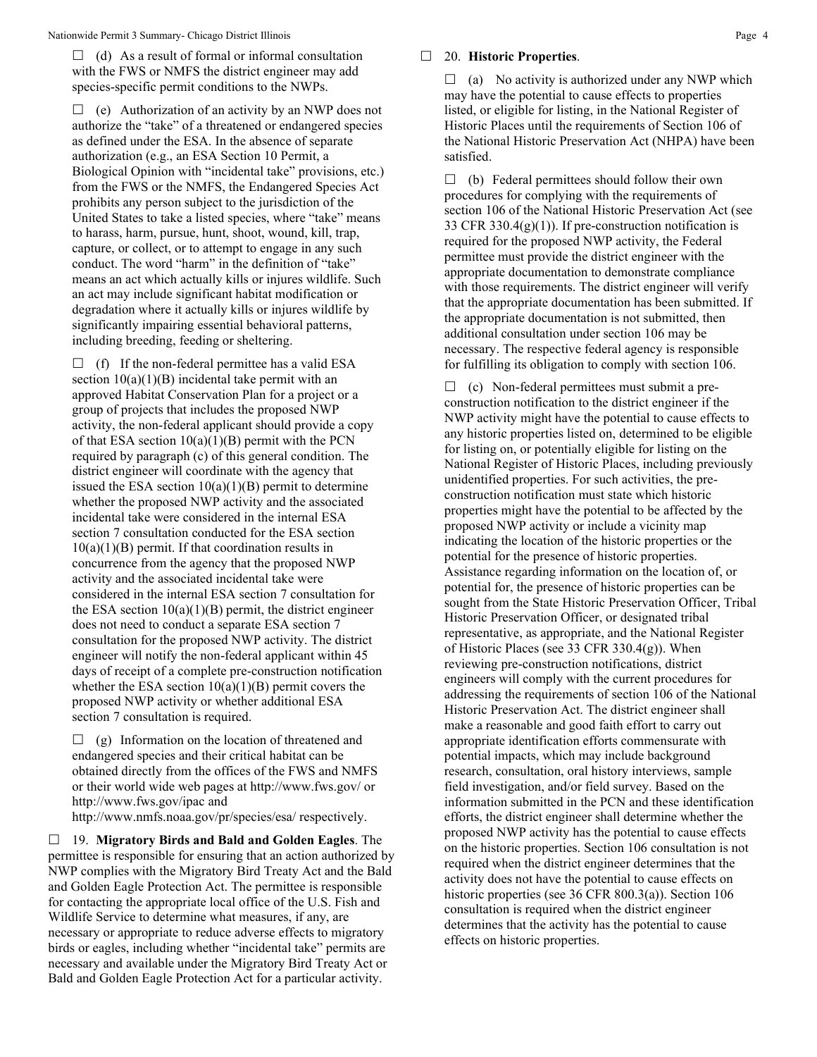$\Box$  (d) As a result of formal or informal consultation with the FWS or NMFS the district engineer may add species-specific permit conditions to the NWPs.

 $\Box$  (e) Authorization of an activity by an NWP does not authorize the "take" of a threatened or endangered species as defined under the ESA. In the absence of separate authorization (e.g., an ESA Section 10 Permit, a Biological Opinion with "incidental take" provisions, etc.) from the FWS or the NMFS, the Endangered Species Act prohibits any person subject to the jurisdiction of the United States to take a listed species, where "take" means to harass, harm, pursue, hunt, shoot, wound, kill, trap, capture, or collect, or to attempt to engage in any such conduct. The word "harm" in the definition of "take" means an act which actually kills or injures wildlife. Such an act may include significant habitat modification or degradation where it actually kills or injures wildlife by significantly impairing essential behavioral patterns, including breeding, feeding or sheltering.

 $\Box$  (f) If the non-federal permittee has a valid ESA section  $10(a)(1)(B)$  incidental take permit with an approved Habitat Conservation Plan for a project or a group of projects that includes the proposed NWP activity, the non-federal applicant should provide a copy of that ESA section  $10(a)(1)(B)$  permit with the PCN required by paragraph (c) of this general condition. The district engineer will coordinate with the agency that issued the ESA section  $10(a)(1)(B)$  permit to determine whether the proposed NWP activity and the associated incidental take were considered in the internal ESA section 7 consultation conducted for the ESA section  $10(a)(1)(B)$  permit. If that coordination results in concurrence from the agency that the proposed NWP activity and the associated incidental take were considered in the internal ESA section 7 consultation for the ESA section  $10(a)(1)(B)$  permit, the district engineer does not need to conduct a separate ESA section 7 consultation for the proposed NWP activity. The district engineer will notify the non-federal applicant within 45 days of receipt of a complete pre-construction notification whether the ESA section  $10(a)(1)(B)$  permit covers the proposed NWP activity or whether additional ESA section 7 consultation is required.

 $\Box$  (g) Information on the location of threatened and endangered species and their critical habitat can be obtained directly from the offices of the FWS and NMFS or their world wide web pages at http://www.fws.gov/ or http://www.fws.gov/ipac and

http://www.nmfs.noaa.gov/pr/species/esa/ respectively.

 19. **Migratory Birds and Bald and Golden Eagles**. The permittee is responsible for ensuring that an action authorized by NWP complies with the Migratory Bird Treaty Act and the Bald and Golden Eagle Protection Act. The permittee is responsible for contacting the appropriate local office of the U.S. Fish and Wildlife Service to determine what measures, if any, are necessary or appropriate to reduce adverse effects to migratory birds or eagles, including whether "incidental take" permits are necessary and available under the Migratory Bird Treaty Act or Bald and Golden Eagle Protection Act for a particular activity.

 $\Box$  (a) No activity is authorized under any NWP which may have the potential to cause effects to properties listed, or eligible for listing, in the National Register of Historic Places until the requirements of Section 106 of the National Historic Preservation Act (NHPA) have been satisfied.

 $\Box$  (b) Federal permittees should follow their own procedures for complying with the requirements of section 106 of the National Historic Preservation Act (see 33 CFR 330.4(g)(1)). If pre-construction notification is required for the proposed NWP activity, the Federal permittee must provide the district engineer with the appropriate documentation to demonstrate compliance with those requirements. The district engineer will verify that the appropriate documentation has been submitted. If the appropriate documentation is not submitted, then additional consultation under section 106 may be necessary. The respective federal agency is responsible for fulfilling its obligation to comply with section 106.

 $\Box$  (c) Non-federal permittees must submit a preconstruction notification to the district engineer if the NWP activity might have the potential to cause effects to any historic properties listed on, determined to be eligible for listing on, or potentially eligible for listing on the National Register of Historic Places, including previously unidentified properties. For such activities, the preconstruction notification must state which historic properties might have the potential to be affected by the proposed NWP activity or include a vicinity map indicating the location of the historic properties or the potential for the presence of historic properties. Assistance regarding information on the location of, or potential for, the presence of historic properties can be sought from the State Historic Preservation Officer, Tribal Historic Preservation Officer, or designated tribal representative, as appropriate, and the National Register of Historic Places (see 33 CFR 330.4(g)). When reviewing pre-construction notifications, district engineers will comply with the current procedures for addressing the requirements of section 106 of the National Historic Preservation Act. The district engineer shall make a reasonable and good faith effort to carry out appropriate identification efforts commensurate with potential impacts, which may include background research, consultation, oral history interviews, sample field investigation, and/or field survey. Based on the information submitted in the PCN and these identification efforts, the district engineer shall determine whether the proposed NWP activity has the potential to cause effects on the historic properties. Section 106 consultation is not required when the district engineer determines that the activity does not have the potential to cause effects on historic properties (see 36 CFR 800.3(a)). Section 106 consultation is required when the district engineer determines that the activity has the potential to cause effects on historic properties.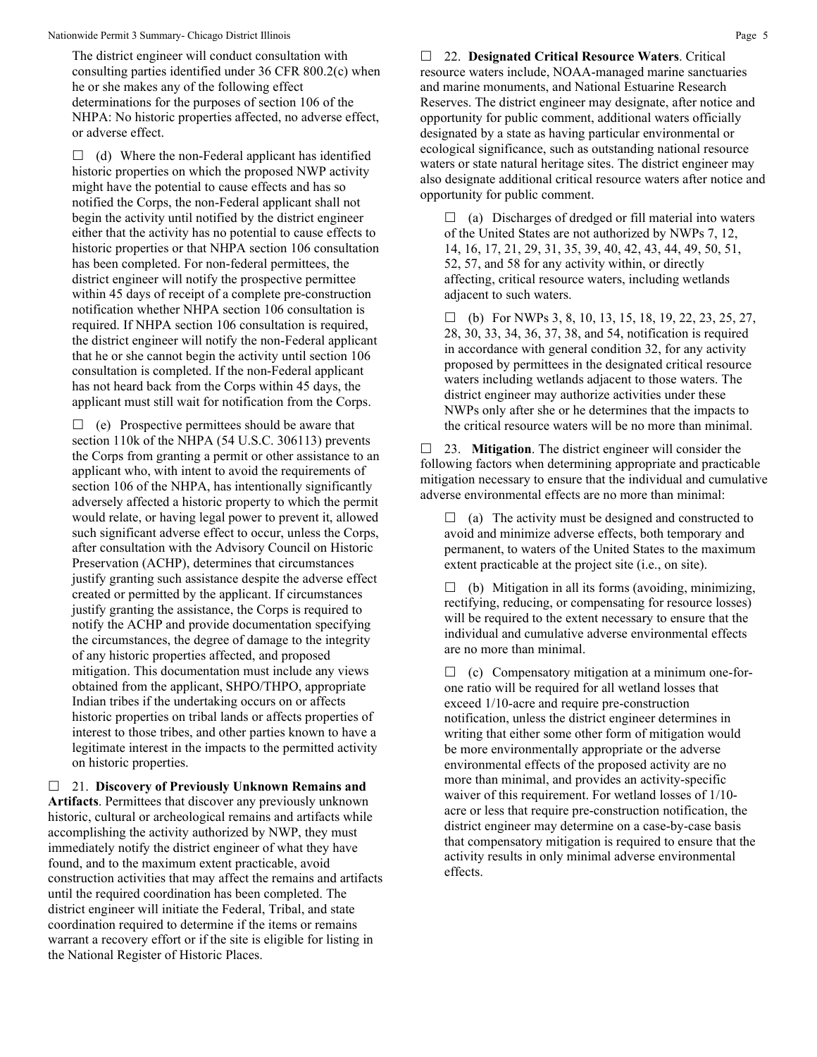#### Nationwide Permit 3 Summary- Chicago District Illinois **Page 5 Page 5**

The district engineer will conduct consultation with consulting parties identified under 36 CFR 800.2(c) when he or she makes any of the following effect determinations for the purposes of section 106 of the NHPA: No historic properties affected, no adverse effect, or adverse effect.

 $\Box$  (d) Where the non-Federal applicant has identified historic properties on which the proposed NWP activity might have the potential to cause effects and has so notified the Corps, the non-Federal applicant shall not begin the activity until notified by the district engineer either that the activity has no potential to cause effects to historic properties or that NHPA section 106 consultation has been completed. For non-federal permittees, the district engineer will notify the prospective permittee within 45 days of receipt of a complete pre-construction notification whether NHPA section 106 consultation is required. If NHPA section 106 consultation is required, the district engineer will notify the non-Federal applicant that he or she cannot begin the activity until section 106 consultation is completed. If the non-Federal applicant has not heard back from the Corps within 45 days, the applicant must still wait for notification from the Corps.

 $\Box$  (e) Prospective permittees should be aware that section 110k of the NHPA (54 U.S.C. 306113) prevents the Corps from granting a permit or other assistance to an applicant who, with intent to avoid the requirements of section 106 of the NHPA, has intentionally significantly adversely affected a historic property to which the permit would relate, or having legal power to prevent it, allowed such significant adverse effect to occur, unless the Corps, after consultation with the Advisory Council on Historic Preservation (ACHP), determines that circumstances justify granting such assistance despite the adverse effect created or permitted by the applicant. If circumstances justify granting the assistance, the Corps is required to notify the ACHP and provide documentation specifying the circumstances, the degree of damage to the integrity of any historic properties affected, and proposed mitigation. This documentation must include any views obtained from the applicant, SHPO/THPO, appropriate Indian tribes if the undertaking occurs on or affects historic properties on tribal lands or affects properties of interest to those tribes, and other parties known to have a legitimate interest in the impacts to the permitted activity on historic properties.

 21. **Discovery of Previously Unknown Remains and Artifacts**. Permittees that discover any previously unknown historic, cultural or archeological remains and artifacts while accomplishing the activity authorized by NWP, they must immediately notify the district engineer of what they have found, and to the maximum extent practicable, avoid construction activities that may affect the remains and artifacts until the required coordination has been completed. The district engineer will initiate the Federal, Tribal, and state coordination required to determine if the items or remains warrant a recovery effort or if the site is eligible for listing in the National Register of Historic Places.

 22. **Designated Critical Resource Waters**. Critical resource waters include, NOAA-managed marine sanctuaries and marine monuments, and National Estuarine Research Reserves. The district engineer may designate, after notice and opportunity for public comment, additional waters officially designated by a state as having particular environmental or ecological significance, such as outstanding national resource waters or state natural heritage sites. The district engineer may also designate additional critical resource waters after notice and opportunity for public comment.

 $\Box$  (a) Discharges of dredged or fill material into waters of the United States are not authorized by NWPs 7, 12, 14, 16, 17, 21, 29, 31, 35, 39, 40, 42, 43, 44, 49, 50, 51, 52, 57, and 58 for any activity within, or directly affecting, critical resource waters, including wetlands adjacent to such waters.

 $\Box$  (b) For NWPs 3, 8, 10, 13, 15, 18, 19, 22, 23, 25, 27, 28, 30, 33, 34, 36, 37, 38, and 54, notification is required in accordance with general condition 32, for any activity proposed by permittees in the designated critical resource waters including wetlands adjacent to those waters. The district engineer may authorize activities under these NWPs only after she or he determines that the impacts to the critical resource waters will be no more than minimal.

 23. **Mitigation**. The district engineer will consider the following factors when determining appropriate and practicable mitigation necessary to ensure that the individual and cumulative adverse environmental effects are no more than minimal:

 $\Box$  (a) The activity must be designed and constructed to avoid and minimize adverse effects, both temporary and permanent, to waters of the United States to the maximum extent practicable at the project site (i.e., on site).

 $\Box$  (b) Mitigation in all its forms (avoiding, minimizing, rectifying, reducing, or compensating for resource losses) will be required to the extent necessary to ensure that the individual and cumulative adverse environmental effects are no more than minimal.

 $\Box$  (c) Compensatory mitigation at a minimum one-forone ratio will be required for all wetland losses that exceed 1/10-acre and require pre-construction notification, unless the district engineer determines in writing that either some other form of mitigation would be more environmentally appropriate or the adverse environmental effects of the proposed activity are no more than minimal, and provides an activity-specific waiver of this requirement. For wetland losses of 1/10 acre or less that require pre-construction notification, the district engineer may determine on a case-by-case basis that compensatory mitigation is required to ensure that the activity results in only minimal adverse environmental effects.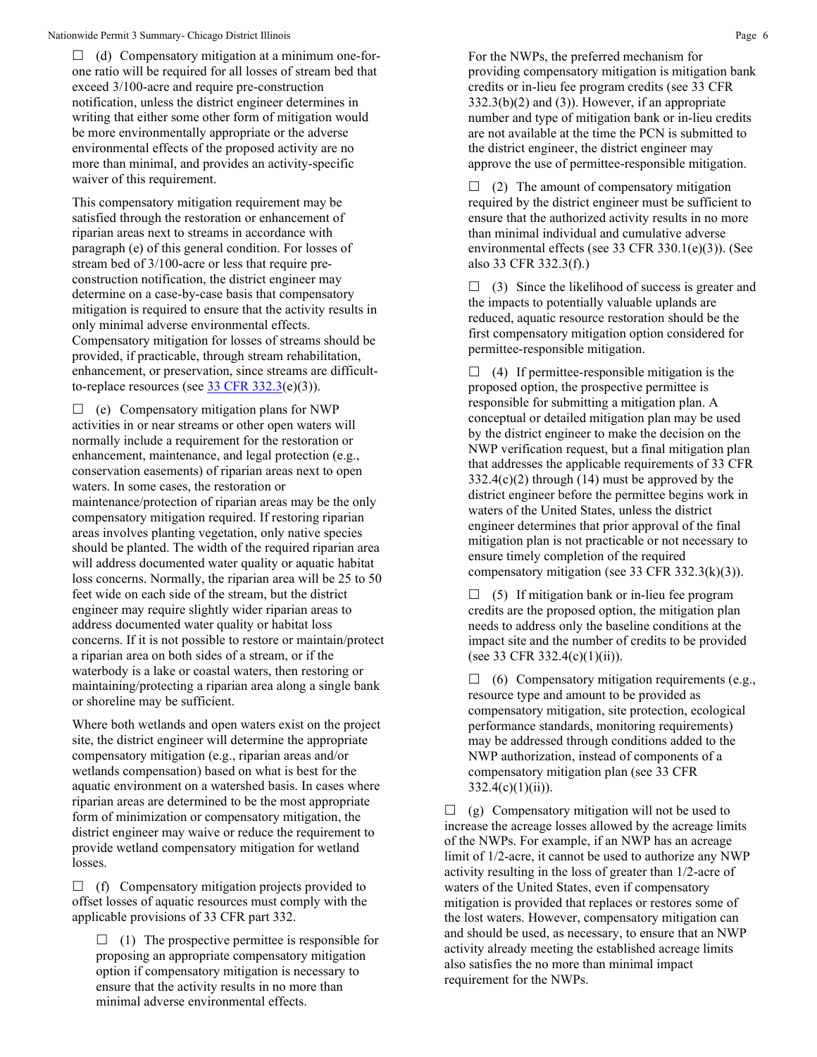$\Box$  (d) Compensatory mitigation at a minimum one-forone ratio will be required for all losses of stream bed that exceed 3/100-acre and require pre-construction notification, unless the district engineer determines in writing that either some other form of mitigation would be more environmentally appropriate or the adverse environmental effects of the proposed activity are no more than minimal, and provides an activity-specific waiver of this requirement.

This compensatory mitigation requirement may be satisfied through the restoration or enhancement of riparian areas next to streams in accordance with paragraph (e) of this general condition. For losses of stream bed of 3/100-acre or less that require preconstruction notification, the district engineer may determine on a case-by-case basis that compensatory mitigation is required to ensure that the activity results in only minimal adverse environmental effects. Compensatory mitigation for losses of streams should be provided, if practicable, through stream rehabilitation, enhancement, or preservation, since streams are difficultto-replace resources (see  $33 \text{ CFR } 332.3(e)(3)$ ).

 $\Box$  (e) Compensatory mitigation plans for NWP activities in or near streams or other open waters will normally include a requirement for the restoration or enhancement, maintenance, and legal protection (e.g., conservation easements) of riparian areas next to open waters. In some cases, the restoration or maintenance/protection of riparian areas may be the only compensatory mitigation required. If restoring riparian areas involves planting vegetation, only native species should be planted. The width of the required riparian area will address documented water quality or aquatic habitat loss concerns. Normally, the riparian area will be 25 to 50 feet wide on each side of the stream, but the district engineer may require slightly wider riparian areas to address documented water quality or habitat loss concerns. If it is not possible to restore or maintain/protect a riparian area on both sides of a stream, or if the waterbody is a lake or coastal waters, then restoring or maintaining/protecting a riparian area along a single bank or shoreline may be sufficient.

Where both wetlands and open waters exist on the project site, the district engineer will determine the appropriate compensatory mitigation (e.g., riparian areas and/or wetlands compensation) based on what is best for the aquatic environment on a watershed basis. In cases where riparian areas are determined to be the most appropriate form of minimization or compensatory mitigation, the district engineer may waive or reduce the requirement to provide wetland compensatory mitigation for wetland losses.

 $\Box$  (f) Compensatory mitigation projects provided to offset losses of aquatic resources must comply with the applicable provisions of 33 CFR part 332.

 $\Box$  (1) The prospective permittee is responsible for proposing an appropriate compensatory mitigation option if compensatory mitigation is necessary to ensure that the activity results in no more than minimal adverse environmental effects.

For the NWPs, the preferred mechanism for providing compensatory mitigation is mitigation bank credits or in-lieu fee program credits (see 33 CFR 332.3(b)(2) and (3)). However, if an appropriate number and type of mitigation bank or in-lieu credits are not available at the time the PCN is submitted to the district engineer, the district engineer may approve the use of permittee-responsible mitigation.

 $\Box$  (2) The amount of compensatory mitigation required by the district engineer must be sufficient to ensure that the authorized activity results in no more than minimal individual and cumulative adverse environmental effects (see 33 CFR 330.1(e)(3)). (See also 33 CFR 332.3(f).)

 $\Box$  (3) Since the likelihood of success is greater and the impacts to potentially valuable uplands are reduced, aquatic resource restoration should be the first compensatory mitigation option considered for permittee-responsible mitigation.

 $\Box$  (4) If permittee-responsible mitigation is the proposed option, the prospective permittee is responsible for submitting a mitigation plan. A conceptual or detailed mitigation plan may be used by the district engineer to make the decision on the NWP verification request, but a final mitigation plan that addresses the applicable requirements of 33 CFR  $332.4(c)(2)$  through (14) must be approved by the district engineer before the permittee begins work in waters of the United States, unless the district engineer determines that prior approval of the final mitigation plan is not practicable or not necessary to ensure timely completion of the required compensatory mitigation (see 33 CFR 332.3(k)(3)).

 $\Box$  (5) If mitigation bank or in-lieu fee program credits are the proposed option, the mitigation plan needs to address only the baseline conditions at the impact site and the number of credits to be provided (see 33 CFR 332.4(c)(1)(ii)).

 $\Box$  (6) Compensatory mitigation requirements (e.g., resource type and amount to be provided as compensatory mitigation, site protection, ecological performance standards, monitoring requirements) may be addressed through conditions added to the NWP authorization, instead of components of a compensatory mitigation plan (see 33 CFR  $332.4(c)(1)(ii)$ .

 $\Box$  (g) Compensatory mitigation will not be used to increase the acreage losses allowed by the acreage limits of the NWPs. For example, if an NWP has an acreage limit of 1/2-acre, it cannot be used to authorize any NWP activity resulting in the loss of greater than 1/2-acre of waters of the United States, even if compensatory mitigation is provided that replaces or restores some of the lost waters. However, compensatory mitigation can and should be used, as necessary, to ensure that an NWP activity already meeting the established acreage limits also satisfies the no more than minimal impact requirement for the NWPs.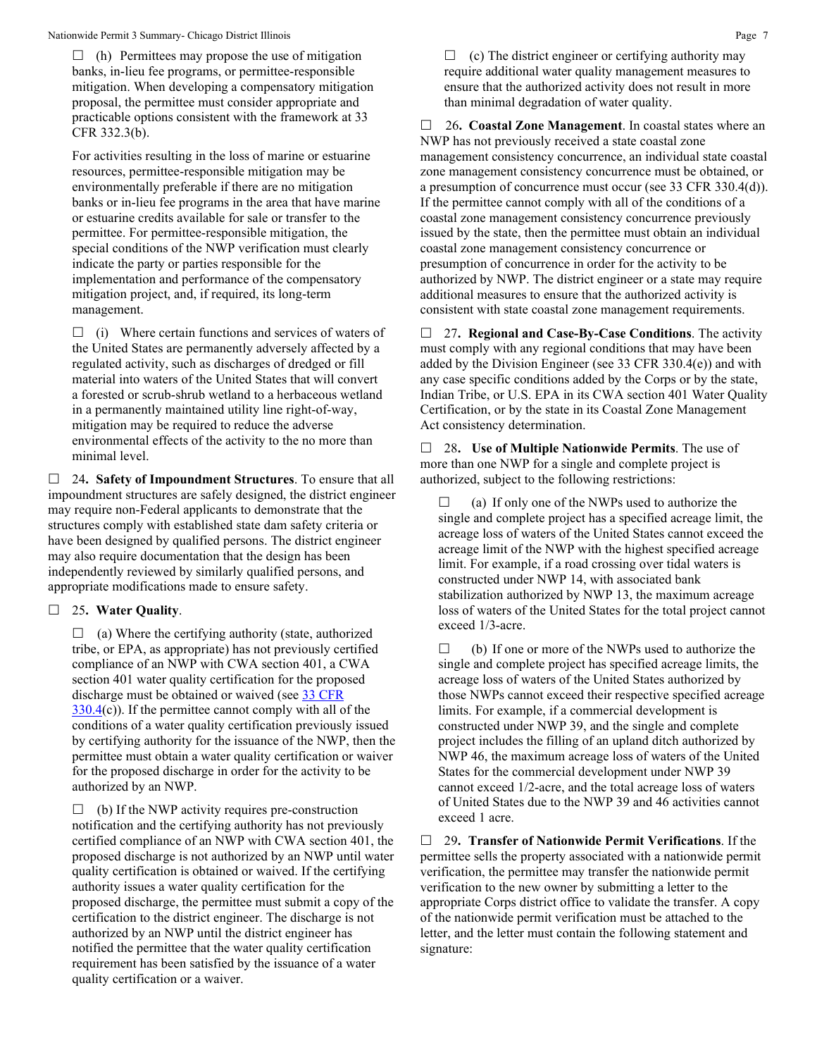$\Box$  (h) Permittees may propose the use of mitigation banks, in-lieu fee programs, or permittee-responsible mitigation. When developing a compensatory mitigation proposal, the permittee must consider appropriate and practicable options consistent with the framework at 33 CFR 332.3(b).

For activities resulting in the loss of marine or estuarine resources, permittee-responsible mitigation may be environmentally preferable if there are no mitigation banks or in-lieu fee programs in the area that have marine or estuarine credits available for sale or transfer to the permittee. For permittee-responsible mitigation, the special conditions of the NWP verification must clearly indicate the party or parties responsible for the implementation and performance of the compensatory mitigation project, and, if required, its long-term management.

 $\Box$  (i) Where certain functions and services of waters of the United States are permanently adversely affected by a regulated activity, such as discharges of dredged or fill material into waters of the United States that will convert a forested or scrub-shrub wetland to a herbaceous wetland in a permanently maintained utility line right-of-way, mitigation may be required to reduce the adverse environmental effects of the activity to the no more than minimal level.

 24**. Safety of Impoundment Structures**. To ensure that all impoundment structures are safely designed, the district engineer may require non-Federal applicants to demonstrate that the structures comply with established state dam safety criteria or have been designed by qualified persons. The district engineer may also require documentation that the design has been independently reviewed by similarly qualified persons, and appropriate modifications made to ensure safety.

# 25**. Water Quality**.

 $\Box$  (a) Where the certifying authority (state, authorized tribe, or EPA, as appropriate) has not previously certified compliance of an NWP with CWA section 401, a CWA section 401 water quality certification for the proposed discharge must be obtained or waived (see 33 CFR  $330.4(c)$  $330.4(c)$ ). If the permittee cannot comply with all of the conditions of a water quality certification previously issued by certifying authority for the issuance of the NWP, then the permittee must obtain a water quality certification or waiver for the proposed discharge in order for the activity to be authorized by an NWP.

 $\Box$  (b) If the NWP activity requires pre-construction notification and the certifying authority has not previously certified compliance of an NWP with CWA section 401, the proposed discharge is not authorized by an NWP until water quality certification is obtained or waived. If the certifying authority issues a water quality certification for the proposed discharge, the permittee must submit a copy of the certification to the district engineer. The discharge is not authorized by an NWP until the district engineer has notified the permittee that the water quality certification requirement has been satisfied by the issuance of a water quality certification or a waiver.

 $\Box$  (c) The district engineer or certifying authority may require additional water quality management measures to ensure that the authorized activity does not result in more than minimal degradation of water quality.

 26**. Coastal Zone Management**. In coastal states where an NWP has not previously received a state coastal zone management consistency concurrence, an individual state coastal zone management consistency concurrence must be obtained, or a presumption of concurrence must occur (see 33 CFR 330.4(d)). If the permittee cannot comply with all of the conditions of a coastal zone management consistency concurrence previously issued by the state, then the permittee must obtain an individual coastal zone management consistency concurrence or presumption of concurrence in order for the activity to be authorized by NWP. The district engineer or a state may require additional measures to ensure that the authorized activity is consistent with state coastal zone management requirements.

 27**. Regional and Case-By-Case Conditions**. The activity must comply with any regional conditions that may have been added by the Division Engineer (see 33 CFR 330.4(e)) and with any case specific conditions added by the Corps or by the state, Indian Tribe, or U.S. EPA in its CWA section 401 Water Quality Certification, or by the state in its Coastal Zone Management Act consistency determination.

 28**. Use of Multiple Nationwide Permits**. The use of more than one NWP for a single and complete project is authorized, subject to the following restrictions:

 $\Box$  (a) If only one of the NWPs used to authorize the single and complete project has a specified acreage limit, the acreage loss of waters of the United States cannot exceed the acreage limit of the NWP with the highest specified acreage limit. For example, if a road crossing over tidal waters is constructed under NWP 14, with associated bank stabilization authorized by NWP 13, the maximum acreage loss of waters of the United States for the total project cannot exceed 1/3-acre.

 $\Box$  (b) If one or more of the NWPs used to authorize the single and complete project has specified acreage limits, the acreage loss of waters of the United States authorized by those NWPs cannot exceed their respective specified acreage limits. For example, if a commercial development is constructed under NWP 39, and the single and complete project includes the filling of an upland ditch authorized by NWP 46, the maximum acreage loss of waters of the United States for the commercial development under NWP 39 cannot exceed 1/2-acre, and the total acreage loss of waters of United States due to the NWP 39 and 46 activities cannot exceed 1 acre.

 29**. Transfer of Nationwide Permit Verifications**. If the permittee sells the property associated with a nationwide permit verification, the permittee may transfer the nationwide permit verification to the new owner by submitting a letter to the appropriate Corps district office to validate the transfer. A copy of the nationwide permit verification must be attached to the letter, and the letter must contain the following statement and signature: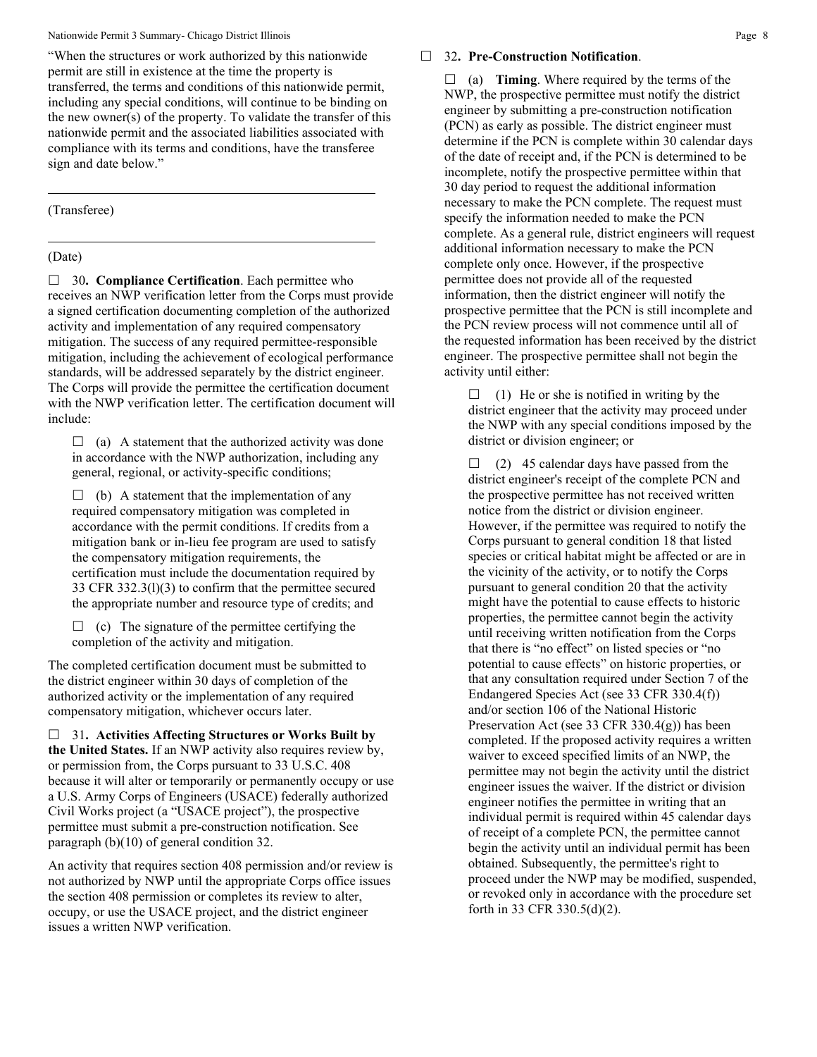#### Nationwide Permit 3 Summary- Chicago District Illinois **Page 8** 8

"When the structures or work authorized by this nationwide permit are still in existence at the time the property is transferred, the terms and conditions of this nationwide permit, including any special conditions, will continue to be binding on the new owner(s) of the property. To validate the transfer of this nationwide permit and the associated liabilities associated with compliance with its terms and conditions, have the transferee sign and date below."

(Transferee)

#### (Date)

□ 30. **Compliance Certification**. Each permittee who receives an NWP verification letter from the Corps must provide a signed certification documenting completion of the authorized activity and implementation of any required compensatory mitigation. The success of any required permittee-responsible mitigation, including the achievement of ecological performance standards, will be addressed separately by the district engineer. The Corps will provide the permittee the certification document with the NWP verification letter. The certification document will include:

 $\Box$  (a) A statement that the authorized activity was done in accordance with the NWP authorization, including any general, regional, or activity-specific conditions;

 $\Box$  (b) A statement that the implementation of any required compensatory mitigation was completed in accordance with the permit conditions. If credits from a mitigation bank or in-lieu fee program are used to satisfy the compensatory mitigation requirements, the certification must include the documentation required by 33 CFR 332.3(l)(3) to confirm that the permittee secured the appropriate number and resource type of credits; and

 $\Box$  (c) The signature of the permittee certifying the completion of the activity and mitigation.

The completed certification document must be submitted to the district engineer within 30 days of completion of the authorized activity or the implementation of any required compensatory mitigation, whichever occurs later.

 31**. Activities Affecting Structures or Works Built by the United States.** If an NWP activity also requires review by, or permission from, the Corps pursuant to 33 U.S.C. 408 because it will alter or temporarily or permanently occupy or use a U.S. Army Corps of Engineers (USACE) federally authorized Civil Works project (a "USACE project"), the prospective permittee must submit a pre-construction notification. See paragraph (b)(10) of general condition 32.

An activity that requires section 408 permission and/or review is not authorized by NWP until the appropriate Corps office issues the section 408 permission or completes its review to alter, occupy, or use the USACE project, and the district engineer issues a written NWP verification.

# 32**. Pre-Construction Notification**.

 $\Box$  (a) **Timing**. Where required by the terms of the NWP, the prospective permittee must notify the district engineer by submitting a pre-construction notification (PCN) as early as possible. The district engineer must determine if the PCN is complete within 30 calendar days of the date of receipt and, if the PCN is determined to be incomplete, notify the prospective permittee within that 30 day period to request the additional information necessary to make the PCN complete. The request must specify the information needed to make the PCN complete. As a general rule, district engineers will request additional information necessary to make the PCN complete only once. However, if the prospective permittee does not provide all of the requested information, then the district engineer will notify the prospective permittee that the PCN is still incomplete and the PCN review process will not commence until all of the requested information has been received by the district engineer. The prospective permittee shall not begin the activity until either:

 $\Box$  (1) He or she is notified in writing by the district engineer that the activity may proceed under the NWP with any special conditions imposed by the district or division engineer; or

 $\Box$  (2) 45 calendar days have passed from the district engineer's receipt of the complete PCN and the prospective permittee has not received written notice from the district or division engineer. However, if the permittee was required to notify the Corps pursuant to general condition 18 that listed species or critical habitat might be affected or are in the vicinity of the activity, or to notify the Corps pursuant to general condition 20 that the activity might have the potential to cause effects to historic properties, the permittee cannot begin the activity until receiving written notification from the Corps that there is "no effect" on listed species or "no potential to cause effects" on historic properties, or that any consultation required under Section 7 of the Endangered Species Act (see 33 CFR 330.4(f)) and/or section 106 of the National Historic Preservation Act (see 33 CFR 330.4(g)) has been completed. If the proposed activity requires a written waiver to exceed specified limits of an NWP, the permittee may not begin the activity until the district engineer issues the waiver. If the district or division engineer notifies the permittee in writing that an individual permit is required within 45 calendar days of receipt of a complete PCN, the permittee cannot begin the activity until an individual permit has been obtained. Subsequently, the permittee's right to proceed under the NWP may be modified, suspended, or revoked only in accordance with the procedure set forth in 33 CFR 330.5(d)(2).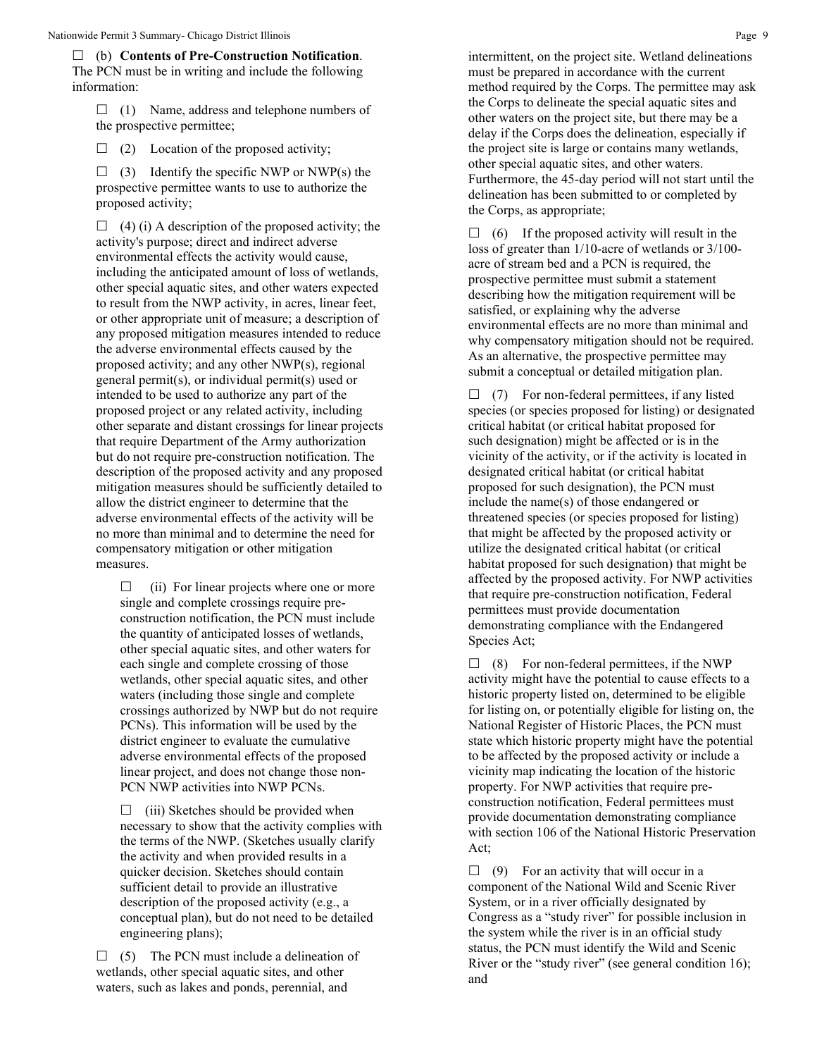(b) **Contents of Pre-Construction Notification**. The PCN must be in writing and include the following information:

 $\Box$  (1) Name, address and telephone numbers of the prospective permittee;

 $\Box$  (2) Location of the proposed activity;

 $\Box$  (3) Identify the specific NWP or NWP(s) the prospective permittee wants to use to authorize the proposed activity;

 $\Box$  (4) (i) A description of the proposed activity; the activity's purpose; direct and indirect adverse environmental effects the activity would cause, including the anticipated amount of loss of wetlands, other special aquatic sites, and other waters expected to result from the NWP activity, in acres, linear feet, or other appropriate unit of measure; a description of any proposed mitigation measures intended to reduce the adverse environmental effects caused by the proposed activity; and any other NWP(s), regional general permit(s), or individual permit(s) used or intended to be used to authorize any part of the proposed project or any related activity, including other separate and distant crossings for linear projects that require Department of the Army authorization but do not require pre-construction notification. The description of the proposed activity and any proposed mitigation measures should be sufficiently detailed to allow the district engineer to determine that the adverse environmental effects of the activity will be no more than minimal and to determine the need for compensatory mitigation or other mitigation measures.

 $\Box$  (ii) For linear projects where one or more single and complete crossings require preconstruction notification, the PCN must include the quantity of anticipated losses of wetlands, other special aquatic sites, and other waters for each single and complete crossing of those wetlands, other special aquatic sites, and other waters (including those single and complete crossings authorized by NWP but do not require PCNs). This information will be used by the district engineer to evaluate the cumulative adverse environmental effects of the proposed linear project, and does not change those non-PCN NWP activities into NWP PCNs.

 $\Box$  (iii) Sketches should be provided when necessary to show that the activity complies with the terms of the NWP. (Sketches usually clarify the activity and when provided results in a quicker decision. Sketches should contain sufficient detail to provide an illustrative description of the proposed activity (e.g., a conceptual plan), but do not need to be detailed engineering plans);

 $\Box$  (5) The PCN must include a delineation of wetlands, other special aquatic sites, and other waters, such as lakes and ponds, perennial, and

intermittent, on the project site. Wetland delineations must be prepared in accordance with the current method required by the Corps. The permittee may ask the Corps to delineate the special aquatic sites and other waters on the project site, but there may be a delay if the Corps does the delineation, especially if the project site is large or contains many wetlands, other special aquatic sites, and other waters. Furthermore, the 45-day period will not start until the delineation has been submitted to or completed by the Corps, as appropriate;

 $\Box$  (6) If the proposed activity will result in the loss of greater than 1/10-acre of wetlands or 3/100 acre of stream bed and a PCN is required, the prospective permittee must submit a statement describing how the mitigation requirement will be satisfied, or explaining why the adverse environmental effects are no more than minimal and why compensatory mitigation should not be required. As an alternative, the prospective permittee may submit a conceptual or detailed mitigation plan.

 $\Box$  (7) For non-federal permittees, if any listed species (or species proposed for listing) or designated critical habitat (or critical habitat proposed for such designation) might be affected or is in the vicinity of the activity, or if the activity is located in designated critical habitat (or critical habitat proposed for such designation), the PCN must include the name(s) of those endangered or threatened species (or species proposed for listing) that might be affected by the proposed activity or utilize the designated critical habitat (or critical habitat proposed for such designation) that might be affected by the proposed activity. For NWP activities that require pre-construction notification, Federal permittees must provide documentation demonstrating compliance with the Endangered Species Act;

 $\Box$  (8) For non-federal permittees, if the NWP activity might have the potential to cause effects to a historic property listed on, determined to be eligible for listing on, or potentially eligible for listing on, the National Register of Historic Places, the PCN must state which historic property might have the potential to be affected by the proposed activity or include a vicinity map indicating the location of the historic property. For NWP activities that require preconstruction notification, Federal permittees must provide documentation demonstrating compliance with section 106 of the National Historic Preservation Act;

 $\Box$  (9) For an activity that will occur in a component of the National Wild and Scenic River System, or in a river officially designated by Congress as a "study river" for possible inclusion in the system while the river is in an official study status, the PCN must identify the Wild and Scenic River or the "study river" (see general condition 16); and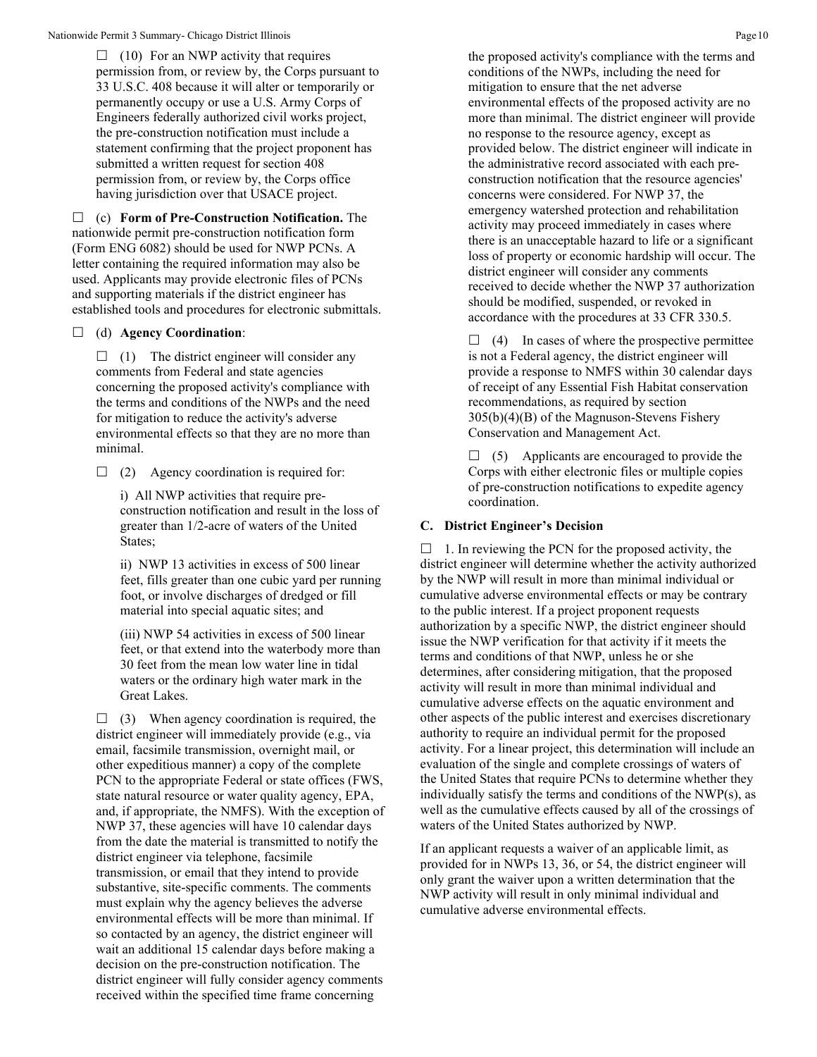$\Box$  (10) For an NWP activity that requires permission from, or review by, the Corps pursuant to 33 U.S.C. 408 because it will alter or temporarily or permanently occupy or use a U.S. Army Corps of Engineers federally authorized civil works project, the pre-construction notification must include a statement confirming that the project proponent has submitted a written request for section 408 permission from, or review by, the Corps office having jurisdiction over that USACE project.

 (c) **Form of Pre-Construction Notification.** The nationwide permit pre-construction notification form (Form ENG 6082) should be used for NWP PCNs. A letter containing the required information may also be used. Applicants may provide electronic files of PCNs and supporting materials if the district engineer has established tools and procedures for electronic submittals.

# (d) **Agency Coordination**:

 $\Box$  (1) The district engineer will consider any comments from Federal and state agencies concerning the proposed activity's compliance with the terms and conditions of the NWPs and the need for mitigation to reduce the activity's adverse environmental effects so that they are no more than minimal.

 $\Box$  (2) Agency coordination is required for:

i) All NWP activities that require preconstruction notification and result in the loss of greater than 1/2-acre of waters of the United States;

ii) NWP 13 activities in excess of 500 linear feet, fills greater than one cubic yard per running foot, or involve discharges of dredged or fill material into special aquatic sites; and

(iii) NWP 54 activities in excess of 500 linear feet, or that extend into the waterbody more than 30 feet from the mean low water line in tidal waters or the ordinary high water mark in the Great Lakes.

 $\Box$  (3) When agency coordination is required, the district engineer will immediately provide (e.g., via email, facsimile transmission, overnight mail, or other expeditious manner) a copy of the complete PCN to the appropriate Federal or state offices (FWS, state natural resource or water quality agency, EPA, and, if appropriate, the NMFS). With the exception of NWP 37, these agencies will have 10 calendar days from the date the material is transmitted to notify the district engineer via telephone, facsimile transmission, or email that they intend to provide substantive, site-specific comments. The comments must explain why the agency believes the adverse environmental effects will be more than minimal. If so contacted by an agency, the district engineer will wait an additional 15 calendar days before making a decision on the pre-construction notification. The district engineer will fully consider agency comments received within the specified time frame concerning

the proposed activity's compliance with the terms and conditions of the NWPs, including the need for mitigation to ensure that the net adverse environmental effects of the proposed activity are no more than minimal. The district engineer will provide no response to the resource agency, except as provided below. The district engineer will indicate in the administrative record associated with each preconstruction notification that the resource agencies' concerns were considered. For NWP 37, the emergency watershed protection and rehabilitation activity may proceed immediately in cases where there is an unacceptable hazard to life or a significant loss of property or economic hardship will occur. The district engineer will consider any comments received to decide whether the NWP 37 authorization should be modified, suspended, or revoked in accordance with the procedures at 33 CFR 330.5.

 $\Box$  (4) In cases of where the prospective permittee is not a Federal agency, the district engineer will provide a response to NMFS within 30 calendar days of receipt of any Essential Fish Habitat conservation recommendations, as required by section 305(b)(4)(B) of the Magnuson-Stevens Fishery Conservation and Management Act.

 $\Box$  (5) Applicants are encouraged to provide the Corps with either electronic files or multiple copies of pre-construction notifications to expedite agency coordination.

# **C. District Engineer's Decision**

 $\Box$  1. In reviewing the PCN for the proposed activity, the district engineer will determine whether the activity authorized by the NWP will result in more than minimal individual or cumulative adverse environmental effects or may be contrary to the public interest. If a project proponent requests authorization by a specific NWP, the district engineer should issue the NWP verification for that activity if it meets the terms and conditions of that NWP, unless he or she determines, after considering mitigation, that the proposed activity will result in more than minimal individual and cumulative adverse effects on the aquatic environment and other aspects of the public interest and exercises discretionary authority to require an individual permit for the proposed activity. For a linear project, this determination will include an evaluation of the single and complete crossings of waters of the United States that require PCNs to determine whether they individually satisfy the terms and conditions of the  $NWP(s)$ , as well as the cumulative effects caused by all of the crossings of waters of the United States authorized by NWP.

If an applicant requests a waiver of an applicable limit, as provided for in NWPs 13, 36, or 54, the district engineer will only grant the waiver upon a written determination that the NWP activity will result in only minimal individual and cumulative adverse environmental effects.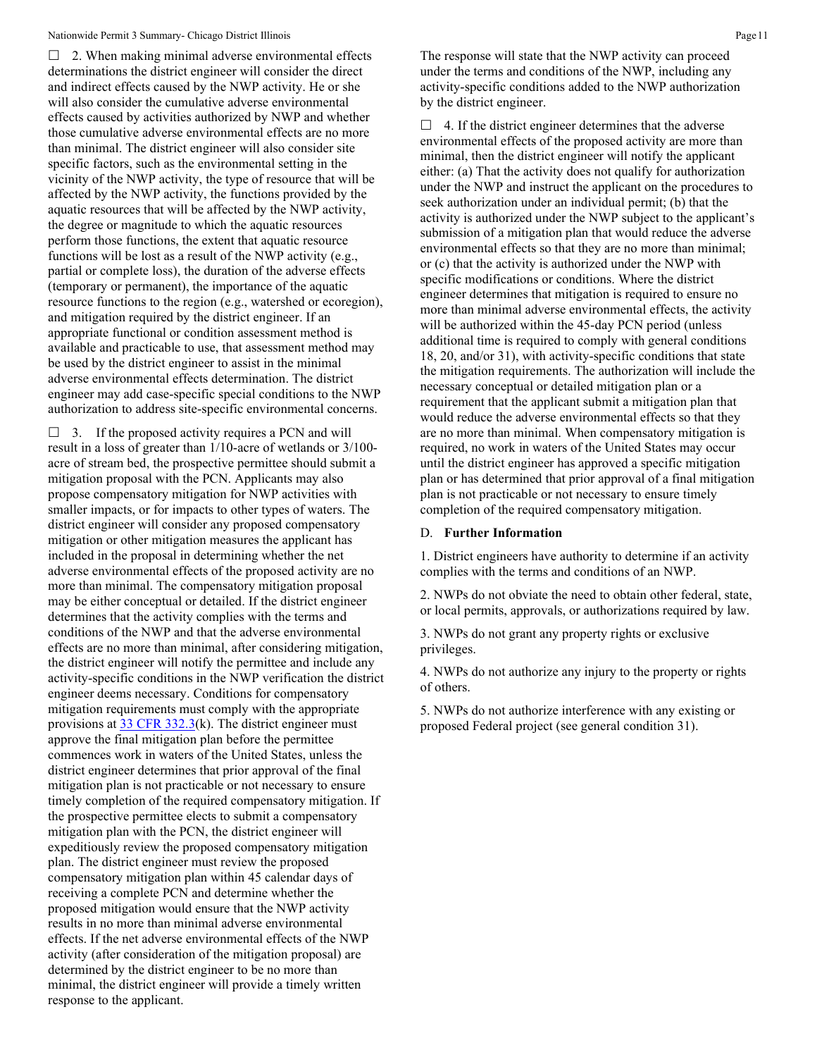## Nationwide Permit 3 Summary- Chicago District Illinois **Page 11** National Accords Page 11

 $\Box$  2. When making minimal adverse environmental effects determinations the district engineer will consider the direct and indirect effects caused by the NWP activity. He or she will also consider the cumulative adverse environmental effects caused by activities authorized by NWP and whether those cumulative adverse environmental effects are no more than minimal. The district engineer will also consider site specific factors, such as the environmental setting in the vicinity of the NWP activity, the type of resource that will be affected by the NWP activity, the functions provided by the aquatic resources that will be affected by the NWP activity, the degree or magnitude to which the aquatic resources perform those functions, the extent that aquatic resource functions will be lost as a result of the NWP activity (e.g., partial or complete loss), the duration of the adverse effects (temporary or permanent), the importance of the aquatic resource functions to the region (e.g., watershed or ecoregion), and mitigation required by the district engineer. If an appropriate functional or condition assessment method is available and practicable to use, that assessment method may be used by the district engineer to assist in the minimal adverse environmental effects determination. The district engineer may add case-specific special conditions to the NWP authorization to address site-specific environmental concerns.

 $\Box$  3. If the proposed activity requires a PCN and will result in a loss of greater than 1/10-acre of wetlands or 3/100 acre of stream bed, the prospective permittee should submit a mitigation proposal with the PCN. Applicants may also propose compensatory mitigation for NWP activities with smaller impacts, or for impacts to other types of waters. The district engineer will consider any proposed compensatory mitigation or other mitigation measures the applicant has included in the proposal in determining whether the net adverse environmental effects of the proposed activity are no more than minimal. The compensatory mitigation proposal may be either conceptual or detailed. If the district engineer determines that the activity complies with the terms and conditions of the NWP and that the adverse environmental effects are no more than minimal, after considering mitigation, the district engineer will notify the permittee and include any activity-specific conditions in the NWP verification the district engineer deems necessary. Conditions for compensatory mitigation requirements must comply with the appropriate provisions at  $33 \text{ CFR } 332.3$ (k). The district engineer must approve the final mitigation plan before the permittee commences work in waters of the United States, unless the district engineer determines that prior approval of the final mitigation plan is not practicable or not necessary to ensure timely completion of the required compensatory mitigation. If the prospective permittee elects to submit a compensatory mitigation plan with the PCN, the district engineer will expeditiously review the proposed compensatory mitigation plan. The district engineer must review the proposed compensatory mitigation plan within 45 calendar days of receiving a complete PCN and determine whether the proposed mitigation would ensure that the NWP activity results in no more than minimal adverse environmental effects. If the net adverse environmental effects of the NWP activity (after consideration of the mitigation proposal) are determined by the district engineer to be no more than minimal, the district engineer will provide a timely written response to the applicant.

The response will state that the NWP activity can proceed under the terms and conditions of the NWP, including any activity-specific conditions added to the NWP authorization by the district engineer.

 $\Box$  4. If the district engineer determines that the adverse environmental effects of the proposed activity are more than minimal, then the district engineer will notify the applicant either: (a) That the activity does not qualify for authorization under the NWP and instruct the applicant on the procedures to seek authorization under an individual permit; (b) that the activity is authorized under the NWP subject to the applicant's submission of a mitigation plan that would reduce the adverse environmental effects so that they are no more than minimal; or (c) that the activity is authorized under the NWP with specific modifications or conditions. Where the district engineer determines that mitigation is required to ensure no more than minimal adverse environmental effects, the activity will be authorized within the 45-day PCN period (unless additional time is required to comply with general conditions 18, 20, and/or 31), with activity-specific conditions that state the mitigation requirements. The authorization will include the necessary conceptual or detailed mitigation plan or a requirement that the applicant submit a mitigation plan that would reduce the adverse environmental effects so that they are no more than minimal. When compensatory mitigation is required, no work in waters of the United States may occur until the district engineer has approved a specific mitigation plan or has determined that prior approval of a final mitigation plan is not practicable or not necessary to ensure timely completion of the required compensatory mitigation.

## D. **Further Information**

1. District engineers have authority to determine if an activity complies with the terms and conditions of an NWP.

2. NWPs do not obviate the need to obtain other federal, state, or local permits, approvals, or authorizations required by law.

3. NWPs do not grant any property rights or exclusive privileges.

4. NWPs do not authorize any injury to the property or rights of others.

5. NWPs do not authorize interference with any existing or proposed Federal project (see general condition 31).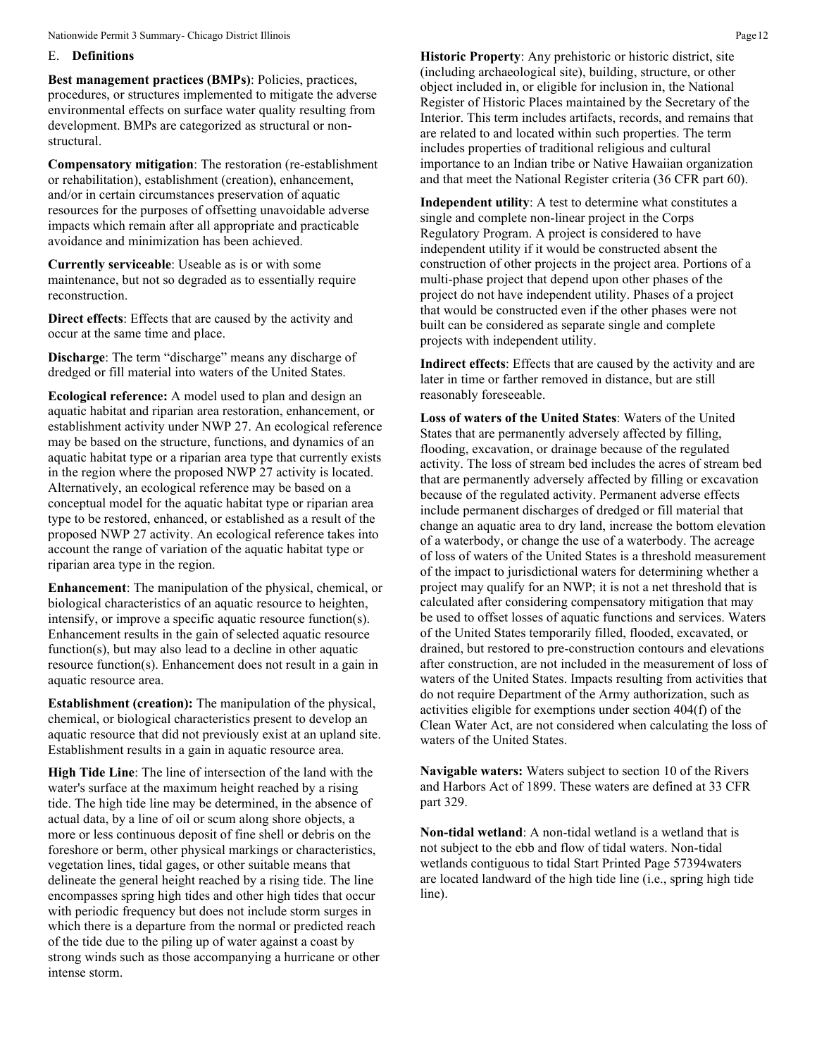## E. **Definitions**

**Best management practices (BMPs)**: Policies, practices, procedures, or structures implemented to mitigate the adverse environmental effects on surface water quality resulting from development. BMPs are categorized as structural or nonstructural.

**Compensatory mitigation**: The restoration (re-establishment or rehabilitation), establishment (creation), enhancement, and/or in certain circumstances preservation of aquatic resources for the purposes of offsetting unavoidable adverse impacts which remain after all appropriate and practicable avoidance and minimization has been achieved.

**Currently serviceable**: Useable as is or with some maintenance, but not so degraded as to essentially require reconstruction.

**Direct effects**: Effects that are caused by the activity and occur at the same time and place.

**Discharge**: The term "discharge" means any discharge of dredged or fill material into waters of the United States.

**Ecological reference:** A model used to plan and design an aquatic habitat and riparian area restoration, enhancement, or establishment activity under NWP 27. An ecological reference may be based on the structure, functions, and dynamics of an aquatic habitat type or a riparian area type that currently exists in the region where the proposed NWP 27 activity is located. Alternatively, an ecological reference may be based on a conceptual model for the aquatic habitat type or riparian area type to be restored, enhanced, or established as a result of the proposed NWP 27 activity. An ecological reference takes into account the range of variation of the aquatic habitat type or riparian area type in the region.

**Enhancement**: The manipulation of the physical, chemical, or biological characteristics of an aquatic resource to heighten, intensify, or improve a specific aquatic resource function(s). Enhancement results in the gain of selected aquatic resource function(s), but may also lead to a decline in other aquatic resource function(s). Enhancement does not result in a gain in aquatic resource area.

**Establishment (creation):** The manipulation of the physical, chemical, or biological characteristics present to develop an aquatic resource that did not previously exist at an upland site. Establishment results in a gain in aquatic resource area.

**High Tide Line**: The line of intersection of the land with the water's surface at the maximum height reached by a rising tide. The high tide line may be determined, in the absence of actual data, by a line of oil or scum along shore objects, a more or less continuous deposit of fine shell or debris on the foreshore or berm, other physical markings or characteristics, vegetation lines, tidal gages, or other suitable means that delineate the general height reached by a rising tide. The line encompasses spring high tides and other high tides that occur with periodic frequency but does not include storm surges in which there is a departure from the normal or predicted reach of the tide due to the piling up of water against a coast by strong winds such as those accompanying a hurricane or other intense storm.

**Historic Property**: Any prehistoric or historic district, site (including archaeological site), building, structure, or other object included in, or eligible for inclusion in, the National Register of Historic Places maintained by the Secretary of the Interior. This term includes artifacts, records, and remains that are related to and located within such properties. The term includes properties of traditional religious and cultural importance to an Indian tribe or Native Hawaiian organization and that meet the National Register criteria (36 CFR part 60).

**Independent utility**: A test to determine what constitutes a single and complete non-linear project in the Corps Regulatory Program. A project is considered to have independent utility if it would be constructed absent the construction of other projects in the project area. Portions of a multi-phase project that depend upon other phases of the project do not have independent utility. Phases of a project that would be constructed even if the other phases were not built can be considered as separate single and complete projects with independent utility.

**Indirect effects**: Effects that are caused by the activity and are later in time or farther removed in distance, but are still reasonably foreseeable.

**Loss of waters of the United States**: Waters of the United States that are permanently adversely affected by filling, flooding, excavation, or drainage because of the regulated activity. The loss of stream bed includes the acres of stream bed that are permanently adversely affected by filling or excavation because of the regulated activity. Permanent adverse effects include permanent discharges of dredged or fill material that change an aquatic area to dry land, increase the bottom elevation of a waterbody, or change the use of a waterbody. The acreage of loss of waters of the United States is a threshold measurement of the impact to jurisdictional waters for determining whether a project may qualify for an NWP; it is not a net threshold that is calculated after considering compensatory mitigation that may be used to offset losses of aquatic functions and services. Waters of the United States temporarily filled, flooded, excavated, or drained, but restored to pre-construction contours and elevations after construction, are not included in the measurement of loss of waters of the United States. Impacts resulting from activities that do not require Department of the Army authorization, such as activities eligible for exemptions under section 404(f) of the Clean Water Act, are not considered when calculating the loss of waters of the United States.

**Navigable waters:** Waters subject to section 10 of the Rivers and Harbors Act of 1899. These waters are defined at 33 CFR part 329.

**Non-tidal wetland**: A non-tidal wetland is a wetland that is not subject to the ebb and flow of tidal waters. Non-tidal wetlands contiguous to tidal Start Printed Page 57394waters are located landward of the high tide line (i.e., spring high tide line).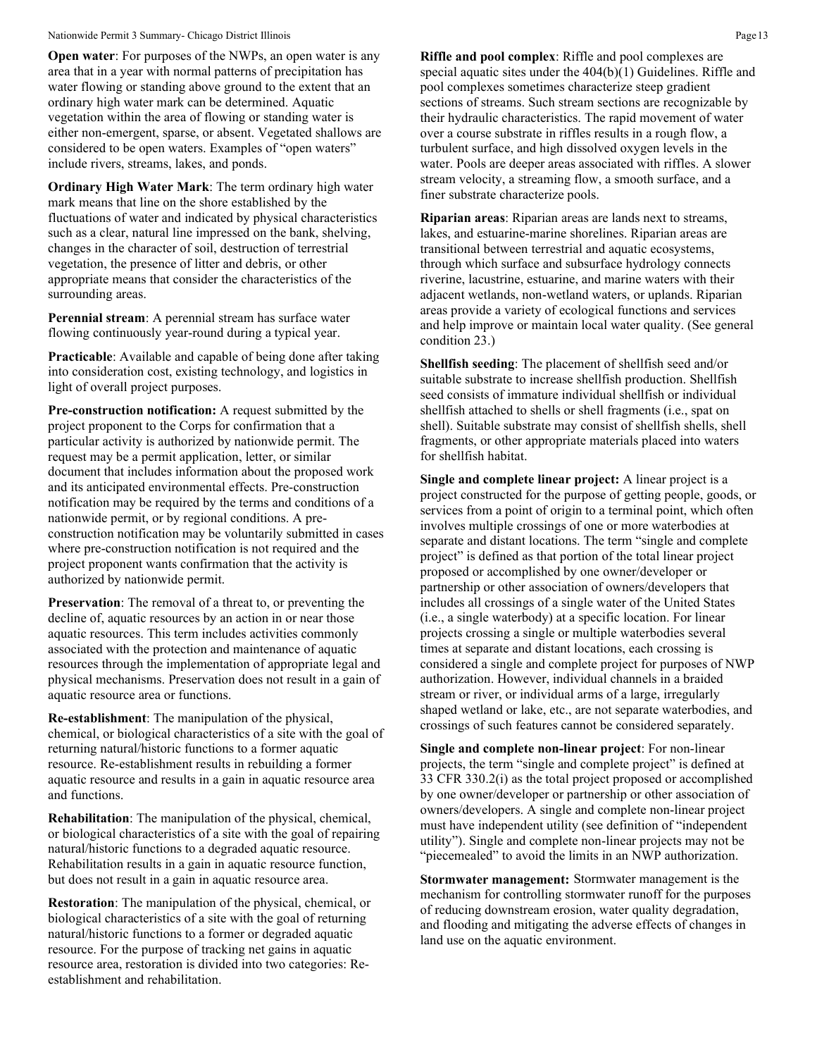#### Nationwide Permit 3 Summary- Chicago District Illinois **Page 13** Page 13

**Open water:** For purposes of the NWPs, an open water is any area that in a year with normal patterns of precipitation has water flowing or standing above ground to the extent that an ordinary high water mark can be determined. Aquatic vegetation within the area of flowing or standing water is either non-emergent, sparse, or absent. Vegetated shallows are considered to be open waters. Examples of "open waters" include rivers, streams, lakes, and ponds.

**Ordinary High Water Mark**: The term ordinary high water mark means that line on the shore established by the fluctuations of water and indicated by physical characteristics such as a clear, natural line impressed on the bank, shelving, changes in the character of soil, destruction of terrestrial vegetation, the presence of litter and debris, or other appropriate means that consider the characteristics of the surrounding areas.

**Perennial stream**: A perennial stream has surface water flowing continuously year-round during a typical year.

**Practicable**: Available and capable of being done after taking into consideration cost, existing technology, and logistics in light of overall project purposes.

**Pre-construction notification:** A request submitted by the project proponent to the Corps for confirmation that a particular activity is authorized by nationwide permit. The request may be a permit application, letter, or similar document that includes information about the proposed work and its anticipated environmental effects. Pre-construction notification may be required by the terms and conditions of a nationwide permit, or by regional conditions. A preconstruction notification may be voluntarily submitted in cases where pre-construction notification is not required and the project proponent wants confirmation that the activity is authorized by nationwide permit.

**Preservation**: The removal of a threat to, or preventing the decline of, aquatic resources by an action in or near those aquatic resources. This term includes activities commonly associated with the protection and maintenance of aquatic resources through the implementation of appropriate legal and physical mechanisms. Preservation does not result in a gain of aquatic resource area or functions.

**Re-establishment**: The manipulation of the physical, chemical, or biological characteristics of a site with the goal of returning natural/historic functions to a former aquatic resource. Re-establishment results in rebuilding a former aquatic resource and results in a gain in aquatic resource area and functions.

**Rehabilitation**: The manipulation of the physical, chemical, or biological characteristics of a site with the goal of repairing natural/historic functions to a degraded aquatic resource. Rehabilitation results in a gain in aquatic resource function, but does not result in a gain in aquatic resource area.

**Restoration**: The manipulation of the physical, chemical, or biological characteristics of a site with the goal of returning natural/historic functions to a former or degraded aquatic resource. For the purpose of tracking net gains in aquatic resource area, restoration is divided into two categories: Reestablishment and rehabilitation.

**Riffle and pool complex**: Riffle and pool complexes are special aquatic sites under the 404(b)(1) Guidelines. Riffle and pool complexes sometimes characterize steep gradient sections of streams. Such stream sections are recognizable by their hydraulic characteristics. The rapid movement of water over a course substrate in riffles results in a rough flow, a turbulent surface, and high dissolved oxygen levels in the water. Pools are deeper areas associated with riffles. A slower stream velocity, a streaming flow, a smooth surface, and a finer substrate characterize pools.

**Riparian areas**: Riparian areas are lands next to streams, lakes, and estuarine-marine shorelines. Riparian areas are transitional between terrestrial and aquatic ecosystems, through which surface and subsurface hydrology connects riverine, lacustrine, estuarine, and marine waters with their adjacent wetlands, non-wetland waters, or uplands. Riparian areas provide a variety of ecological functions and services and help improve or maintain local water quality. (See general condition 23.)

**Shellfish seeding**: The placement of shellfish seed and/or suitable substrate to increase shellfish production. Shellfish seed consists of immature individual shellfish or individual shellfish attached to shells or shell fragments (i.e., spat on shell). Suitable substrate may consist of shellfish shells, shell fragments, or other appropriate materials placed into waters for shellfish habitat.

**Single and complete linear project:** A linear project is a project constructed for the purpose of getting people, goods, or services from a point of origin to a terminal point, which often involves multiple crossings of one or more waterbodies at separate and distant locations. The term "single and complete project" is defined as that portion of the total linear project proposed or accomplished by one owner/developer or partnership or other association of owners/developers that includes all crossings of a single water of the United States (i.e., a single waterbody) at a specific location. For linear projects crossing a single or multiple waterbodies several times at separate and distant locations, each crossing is considered a single and complete project for purposes of NWP authorization. However, individual channels in a braided stream or river, or individual arms of a large, irregularly shaped wetland or lake, etc., are not separate waterbodies, and crossings of such features cannot be considered separately.

**Single and complete non-linear project**: For non-linear projects, the term "single and complete project" is defined at 33 CFR 330.2(i) as the total project proposed or accomplished by one owner/developer or partnership or other association of owners/developers. A single and complete non-linear project must have independent utility (see definition of "independent utility"). Single and complete non-linear projects may not be "piecemealed" to avoid the limits in an NWP authorization.

**Stormwater management:** Stormwater management is the mechanism for controlling stormwater runoff for the purposes of reducing downstream erosion, water quality degradation, and flooding and mitigating the adverse effects of changes in land use on the aquatic environment.